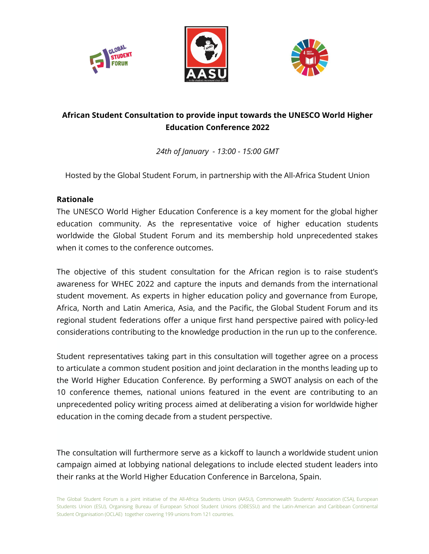





## **African Student Consultation to provide input towards the UNESCO World Higher Education Conference 2022**

*24th of January - 13:00 - 15:00 GMT*

Hosted by the Global Student Forum, in partnership with the All-Africa Student Union

## **Rationale**

The UNESCO World Higher Education Conference is a key moment for the global higher education community. As the representative voice of higher education students worldwide the Global Student Forum and its membership hold unprecedented stakes when it comes to the conference outcomes.

The objective of this student consultation for the African region is to raise student's awareness for WHEC 2022 and capture the inputs and demands from the international student movement. As experts in higher education policy and governance from Europe, Africa, North and Latin America, Asia, and the Pacific, the Global Student Forum and its regional student federations offer a unique first hand perspective paired with policy-led considerations contributing to the knowledge production in the run up to the conference.

Student representatives taking part in this consultation will together agree on a process to articulate a common student position and joint declaration in the months leading up to the World Higher Education Conference. By performing a SWOT analysis on each of the 10 conference themes, national unions featured in the event are contributing to an unprecedented policy writing process aimed at deliberating a vision for worldwide higher education in the coming decade from a student perspective.

The consultation will furthermore serve as a kickoff to launch a worldwide student union campaign aimed at lobbying national delegations to include elected student leaders into their ranks at the World Higher Education Conference in Barcelona, Spain.

The Global Student Forum is a joint initiative of the All-Africa Students Union (AASU), Commonwealth Students' Association (CSA), European Students Union (ESU), Organising Bureau of European School Student Unions (OBESSU) and the Latin-American and Caribbean Continental Student Organisation (OCLAE) together covering 199 unions from 121 countries.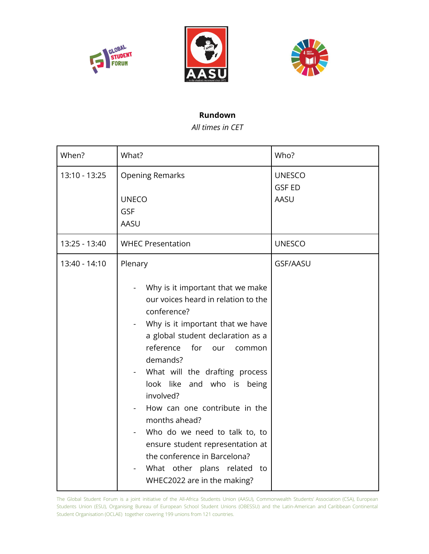





## **Rundown**

*All times in CET*

| When?         | What?                                                                                                                                                                                                                                                                                                                                                                                                                                                                                                                         | Who?                                   |
|---------------|-------------------------------------------------------------------------------------------------------------------------------------------------------------------------------------------------------------------------------------------------------------------------------------------------------------------------------------------------------------------------------------------------------------------------------------------------------------------------------------------------------------------------------|----------------------------------------|
| 13:10 - 13:25 | <b>Opening Remarks</b><br><b>UNECO</b><br><b>GSF</b><br>AASU                                                                                                                                                                                                                                                                                                                                                                                                                                                                  | <b>UNESCO</b><br><b>GSF ED</b><br>AASU |
| 13:25 - 13:40 | <b>WHEC Presentation</b>                                                                                                                                                                                                                                                                                                                                                                                                                                                                                                      | <b>UNESCO</b>                          |
| 13:40 - 14:10 | Plenary<br>Why is it important that we make<br>our voices heard in relation to the<br>conference?<br>Why is it important that we have<br>a global student declaration as a<br>reference<br>for<br>our<br>common<br>demands?<br>What will the drafting process<br>look like and who is being<br>involved?<br>How can one contribute in the<br>months ahead?<br>Who do we need to talk to, to<br>ensure student representation at<br>the conference in Barcelona?<br>What other plans related to<br>WHEC2022 are in the making? | <b>GSF/AASU</b>                        |

The Global Student Forum is a joint initiative of the All-Africa Students Union (AASU), Commonwealth Students' Association (CSA), European Students Union (ESU), Organising Bureau of European School Student Unions (OBESSU) and the Latin-American and Caribbean Continental Student Organisation (OCLAE) together covering 199 unions from 121 countries.